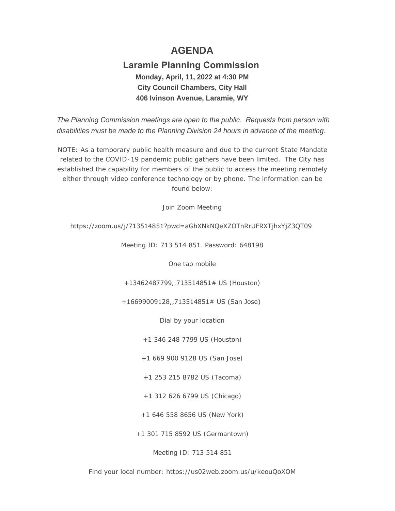# **AGENDA**

## **Laramie Planning Commission Monday, April, 11, 2022 at 4:30 PM City Council Chambers, City Hall 406 Ivinson Avenue, Laramie, WY**

 *The Planning Commission meetings are open to the public. Requests from person with disabilities must be made to the Planning Division 24 hours in advance of the meeting.*

NOTE: As a temporary public health measure and due to the current State Mandate related to the COVID-19 pandemic public gathers have been limited. The City has established the capability for members of the public to access the meeting remotely either through video conference technology or by phone. The information can be found below:

Join Zoom Meeting

### https://zoom.us/j/713514851?pwd=aGhXNkNQeXZOTnRrUFRXTjhxYjZ3QT09

Meeting ID: 713 514 851 Password: 648198

One tap mobile

+13462487799,,713514851# US (Houston)

+16699009128,,713514851# US (San Jose)

Dial by your location

+1 346 248 7799 US (Houston)

+1 669 900 9128 US (San Jose)

+1 253 215 8782 US (Tacoma)

+1 312 626 6799 US (Chicago)

+1 646 558 8656 US (New York)

+1 301 715 8592 US (Germantown)

Meeting ID: 713 514 851

Find your local number: https://us02web.zoom.us/u/keouQoXOM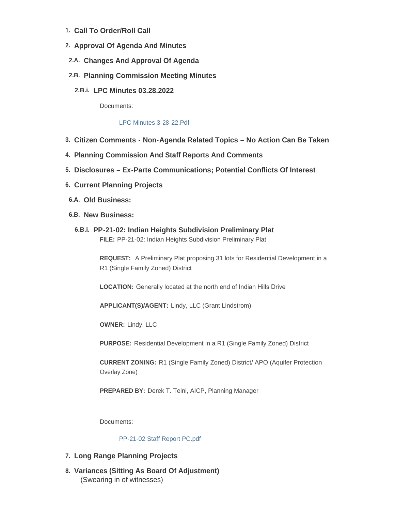- **Call To Order/Roll Call 1.**
- **Approval Of Agenda And Minutes 2.**
- **Changes And Approval Of Agenda 2.A.**
- **Planning Commission Meeting Minutes 2.B.**
	- **LPC Minutes 03.28.2022 2.B.i.**

Documents:

#### [LPC Minutes 3-28-22.Pdf](https://cityoflaramie.org/AgendaCenter/ViewFile/Item/12183?fileID=16701)

- **Citizen Comments - Non-Agenda Related Topics – No Action Can Be Taken 3.**
- **Planning Commission And Staff Reports And Comments 4.**
- **Disclosures – Ex-Parte Communications; Potential Conflicts Of Interest 5.**
- **Current Planning Projects 6.**
- **Old Business: 6.A.**
- **New Business: 6.B.**
	- **PP-21-02: Indian Heights Subdivision Preliminary Plat 6.B.i. FILE:** PP-21-02: Indian Heights Subdivision Preliminary Plat

**REQUEST:** A Preliminary Plat proposing 31 lots for Residential Development in a R1 (Single Family Zoned) District

**LOCATION:** Generally located at the north end of Indian Hills Drive

**APPLICANT(S)/AGENT:** Lindy, LLC (Grant Lindstrom)

**OWNER:** Lindy, LLC

**PURPOSE:** Residential Development in a R1 (Single Family Zoned) District

**CURRENT ZONING:** R1 (Single Family Zoned) District/ APO (Aquifer Protection Overlay Zone)

**PREPARED BY:** Derek T. Teini, AICP, Planning Manager

Documents:

#### [PP-21-02 Staff Report PC.pdf](https://cityoflaramie.org/AgendaCenter/ViewFile/Item/12184?fileID=16695)

## **Long Range Planning Projects 7.**

**Variances (Sitting As Board Of Adjustment) 8.** (Swearing in of witnesses)